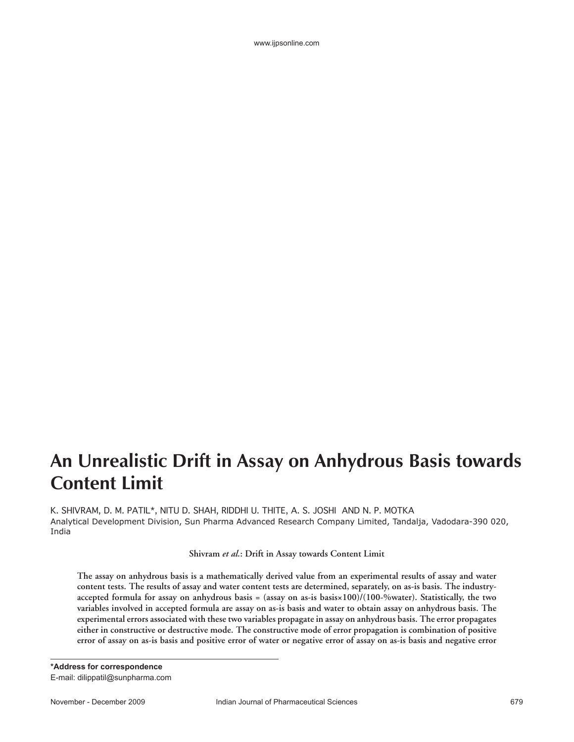# **An Unrealistic Drift in Assay on Anhydrous Basis towards Content Limit**

K. SHIVRAM, D. M. PATIL\*, NITU D. SHAH, RIDDHI U. THITE, A. S. JOSHI AND N. P. MOTKA Analytical Development Division, Sun Pharma Advanced Research Company Limited, Tandalja, Vadodara-390 020, India

**Shivram** *et al.***: Drift in Assay towards Content Limit**

**The assay on anhydrous basis is a mathematically derived value from an experimental results of assay and water content tests. The results of assay and water content tests are determined, separately, on as-is basis. The industryaccepted formula for assay on anhydrous basis = (assay on as-is basis×100)/(100-%water). Statistically, the two variables involved in accepted formula are assay on as-is basis and water to obtain assay on anhydrous basis. The experimental errors associated with these two variables propagate in assay on anhydrous basis. The error propagates either in constructive or destructive mode. The constructive mode of error propagation is combination of positive error of assay on as-is basis and positive error of water or negative error of assay on as-is basis and negative error**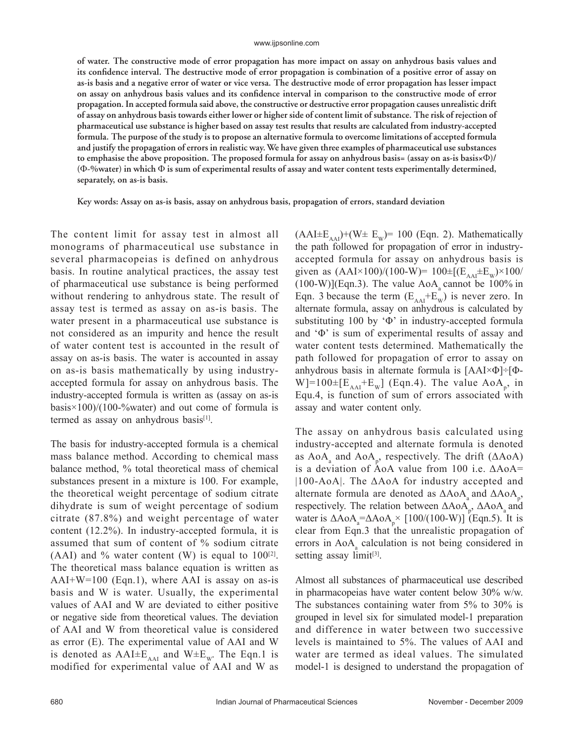**of water. The constructive mode of error propagation has more impact on assay on anhydrous basis values and**  its confidence interval. The destructive mode of error propagation is combination of a positive error of assay on **as-is basis and a negative error of water or vice versa. The destructive mode of error propagation has lesser impact**  on assay on anhydrous basis values and its confidence interval in comparison to the constructive mode of error **propagation. In accepted formula said above, the constructive or destructive error propagation causes unrealistic drift of assay on anhydrous basis towards either lower or higher side of content limit of substance. The risk of rejection of pharmaceutical use substance is higher based on assay test results that results are calculated from industry-accepted formula. The purpose of the study is to propose an alternative formula to overcome limitations of accepted formula and justify the propagation of errors in realistic way. We have given three examples of pharmaceutical use substances to emphasise the above proposition. The proposed formula for assay on anhydrous basis= (assay on as-is basis×**Φ**)/ (**Φ**-%water) in which** Φ **is sum of experimental results of assay and water content tests experimentally determined, separately, on as-is basis.** 

**Key words: Assay on as-is basis, assay on anhydrous basis, propagation of errors, standard deviation**

The content limit for assay test in almost all monograms of pharmaceutical use substance in several pharmacopeias is defined on anhydrous basis. In routine analytical practices, the assay test of pharmaceutical use substance is being performed without rendering to anhydrous state. The result of assay test is termed as assay on as-is basis. The water present in a pharmaceutical use substance is not considered as an impurity and hence the result of water content test is accounted in the result of assay on as-is basis. The water is accounted in assay on as-is basis mathematically by using industryaccepted formula for assay on anhydrous basis. The industry-accepted formula is written as (assay on as-is basis×100)/(100-%water) and out come of formula is termed as assay on anhydrous basis $[1]$ .

The basis for industry-accepted formula is a chemical mass balance method. According to chemical mass balance method, % total theoretical mass of chemical substances present in a mixture is 100. For example, the theoretical weight percentage of sodium citrate dihydrate is sum of weight percentage of sodium citrate (87.8%) and weight percentage of water content (12.2%). In industry-accepted formula, it is assumed that sum of content of % sodium citrate (AAI) and % water content (W) is equal to  $100^{21}$ . The theoretical mass balance equation is written as  $AAI+W=100$  (Eqn.1), where AAI is assay on as-is basis and W is water. Usually, the experimental values of AAI and W are deviated to either positive or negative side from theoretical values. The deviation of AAI and W from theoretical value is considered as error (E). The experimental value of AAI and W is denoted as  $AAI \pm E_{AAI}$  and  $W \pm E_W$ . The Eqn.1 is modified for experimental value of AAI and W as  $(AAI \pm E_{AAI}) + (W \pm E_{W}) = 100$  (Eqn. 2). Mathematically the path followed for propagation of error in industryaccepted formula for assay on anhydrous basis is given as  $(AAI \times 100)/(100-W) = 100 \pm [(E_{AAI} \pm E_{W}) \times 100/$  $(100-W)$ ](Eqn.3). The value AoA<sub>a</sub> cannot be 100% in Eqn. 3 because the term  $(E_{AAI} + E_{W}^{T})$  is never zero. In alternate formula, assay on anhydrous is calculated by substituting 100 by 'Φ' in industry-accepted formula and 'Φ' is sum of experimental results of assay and water content tests determined. Mathematically the path followed for propagation of error to assay on anhydrous basis in alternate formula is [AAI×Φ]÷[Φ- $W$ ]=100 $\pm$ [E<sub>AAI</sub>+E<sub>W</sub>] (Eqn.4). The value AoA<sub>p</sub>, in Equ.4, is function of sum of errors associated with assay and water content only.

The assay on anhydrous basis calculated using industry-accepted and alternate formula is denoted as  $AoA<sub>a</sub>$  and  $AoA<sub>p</sub>$ , respectively. The drift ( $∆AoA$ ) is a deviation of AoA value from 100 i.e. ΔAoA= |100-AoA|. The ΔAoA for industry accepted and alternate formula are denoted as  $\triangle A$ o $A_a$  and  $\triangle A$ o $A_p$ , respectively. The relation between  $\triangle A$ o $A$ <sub>p</sub>,  $\triangle A$ o $A$ <sub>a</sub> and water is  $\Delta A_0 A_a = \Delta A_0 A_\text{p} \times [100/(100\text{-W})]$  (Eqn.5). It is clear from Eqn.3 that the unrealistic propagation of errors in AoA<sub>a</sub> calculation is not being considered in setting assay  $limit^{3}$ .

Almost all substances of pharmaceutical use described in pharmacopeias have water content below 30% w/w. The substances containing water from 5% to 30% is grouped in level six for simulated model-1 preparation and difference in water between two successive levels is maintained to 5%. The values of AAI and water are termed as ideal values. The simulated model-1 is designed to understand the propagation of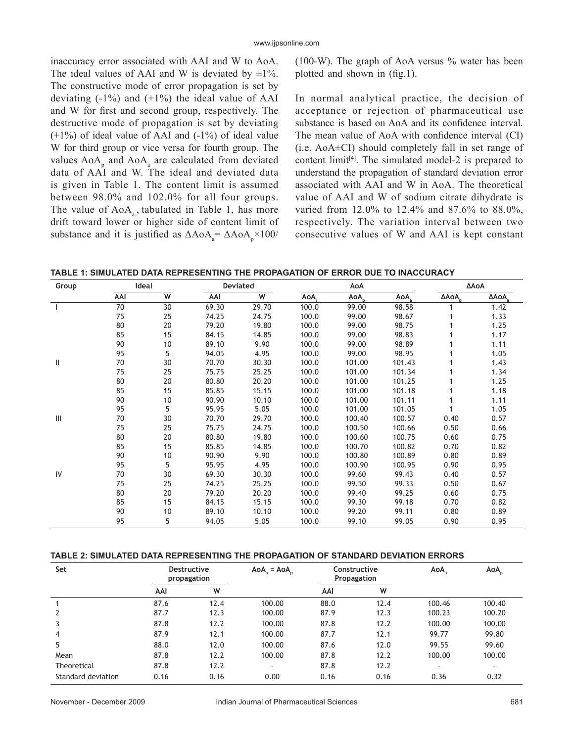inaccuracy error associated with AAI and W to AoA. The ideal values of AAI and W is deviated by  $\pm 1\%$ . The constructive mode of error propagation is set by deviating  $(-1\%)$  and  $(+1\%)$  the ideal value of AAI and W for first and second group, respectively. The destructive mode of propagation is set by deviating  $(+1%)$  of ideal value of AAI and  $(-1%)$  of ideal value W for third group or vice versa for fourth group. The values  $AoA<sub>p</sub>$  and  $AoA<sub>a</sub>$  are calculated from deviated data of AAI and W. The ideal and deviated data is given in Table 1. The content limit is assumed between 98.0% and 102.0% for all four groups. The value of  $AoA<sub>a</sub>$ , tabulated in Table 1, has more drift toward lower or higher side of content limit of substance and it is justified as  $\Delta A_0 A_a = \Delta A_0 A_p \times 100$ /

(100-W). The graph of AoA versus % water has been plotted and shown in  $(f_2, 1)$ .

In normal analytical practice, the decision of acceptance or rejection of pharmaceutical use substance is based on AoA and its confidence interval. The mean value of AoA with confidence interval (CI) (i.e. AoA±CI) should completely fall in set range of content limit<sup>[4]</sup>. The simulated model-2 is prepared to understand the propagation of standard deviation error associated with AAI and W in AoA. The theoretical value of AAI and W of sodium citrate dihydrate is varied from 12.0% to 12.4% and 87.6% to 88.0%, respectively. The variation interval between two consecutive values of W and AAI is kept constant

**TABLE 1: SIMULATED DATA REPRESENTING THE PROPAGATION OF ERROR DUE TO INACCURACY**

| Group | Ideal |    | Deviated |       | AoA   |        |        | ΔΑοΑ |      |
|-------|-------|----|----------|-------|-------|--------|--------|------|------|
|       | AAI   | W  | AAI      | W     | AoA,  | AoA    | AoA    | ΔΑοΑ | ΔΑοΑ |
|       | 70    | 30 | 69.30    | 29.70 | 100.0 | 99.00  | 98.58  |      | 1.42 |
|       | 75    | 25 | 74.25    | 24.75 | 100.0 | 99.00  | 98.67  |      | 1.33 |
|       | 80    | 20 | 79.20    | 19.80 | 100.0 | 99.00  | 98.75  |      | 1.25 |
|       | 85    | 15 | 84.15    | 14.85 | 100.0 | 99.00  | 98.83  |      | 1.17 |
|       | 90    | 10 | 89.10    | 9.90  | 100.0 | 99.00  | 98.89  |      | 1.11 |
|       | 95    | 5  | 94.05    | 4.95  | 100.0 | 99.00  | 98.95  |      | 1.05 |
| Ш     | 70    | 30 | 70.70    | 30.30 | 100.0 | 101.00 | 101.43 |      | 1.43 |
|       | 75    | 25 | 75.75    | 25.25 | 100.0 | 101.00 | 101.34 |      | 1.34 |
|       | 80    | 20 | 80.80    | 20.20 | 100.0 | 101.00 | 101.25 |      | 1.25 |
|       | 85    | 15 | 85.85    | 15.15 | 100.0 | 101.00 | 101.18 |      | 1.18 |
|       | 90    | 10 | 90.90    | 10.10 | 100.0 | 101.00 | 101.11 |      | 1.11 |
|       | 95    | 5  | 95.95    | 5.05  | 100.0 | 101.00 | 101.05 |      | 1.05 |
| Ш     | 70    | 30 | 70.70    | 29.70 | 100.0 | 100.40 | 100.57 | 0.40 | 0.57 |
|       | 75    | 25 | 75.75    | 24.75 | 100.0 | 100.50 | 100.66 | 0.50 | 0.66 |
|       | 80    | 20 | 80.80    | 19.80 | 100.0 | 100.60 | 100.75 | 0.60 | 0.75 |
|       | 85    | 15 | 85.85    | 14.85 | 100.0 | 100.70 | 100.82 | 0.70 | 0.82 |
|       | 90    | 10 | 90.90    | 9.90  | 100.0 | 100.80 | 100.89 | 0.80 | 0.89 |
|       | 95    | 5  | 95.95    | 4.95  | 100.0 | 100.90 | 100.95 | 0.90 | 0.95 |
| IV    | 70    | 30 | 69.30    | 30.30 | 100.0 | 99.60  | 99.43  | 0.40 | 0.57 |
|       | 75    | 25 | 74.25    | 25.25 | 100.0 | 99.50  | 99.33  | 0.50 | 0.67 |
|       | 80    | 20 | 79.20    | 20.20 | 100.0 | 99.40  | 99.25  | 0.60 | 0.75 |
|       | 85    | 15 | 84.15    | 15.15 | 100.0 | 99.30  | 99.18  | 0.70 | 0.82 |
|       | 90    | 10 | 89.10    | 10.10 | 100.0 | 99.20  | 99.11  | 0.80 | 0.89 |
|       | 95    | 5  | 94.05    | 5.05  | 100.0 | 99.10  | 99.05  | 0.90 | 0.95 |

### **TABLE 2: SIMULATED DATA REPRESENTING THE PROPAGATION OF STANDARD DEVIATION ERRORS**

| Set                | <b>Destructive</b><br>propagation |      | $AoAa = AoAp$ | Constructive<br>Propagation |      | AoA.           | AoA <sub>p</sub> |
|--------------------|-----------------------------------|------|---------------|-----------------------------|------|----------------|------------------|
|                    | AAI                               | W    |               | AAI                         | W    |                |                  |
|                    | 87.6                              | 12.4 | 100.00        | 88.0                        | 12.4 | 100.46         | 100.40           |
|                    | 87.7                              | 12.3 | 100.00        | 87.9                        | 12.3 | 100.23         | 100.20           |
|                    | 87.8                              | 12.2 | 100.00        | 87.8                        | 12.2 | 100.00         | 100.00           |
| $\overline{4}$     | 87.9                              | 12.1 | 100.00        | 87.7                        | 12.1 | 99.77          | 99.80            |
| 5                  | 88.0                              | 12.0 | 100.00        | 87.6                        | 12.0 | 99.55          | 99.60            |
| Mean               | 87.8                              | 12.2 | 100.00        | 87.8                        | 12.2 | 100.00         | 100.00           |
| Theoretical        | 87.8                              | 12.2 | ۰             | 87.8                        | 12.2 | $\overline{a}$ | $\overline{a}$   |
| Standard deviation | 0.16                              | 0.16 | 0.00          | 0.16                        | 0.16 | 0.36           | 0.32             |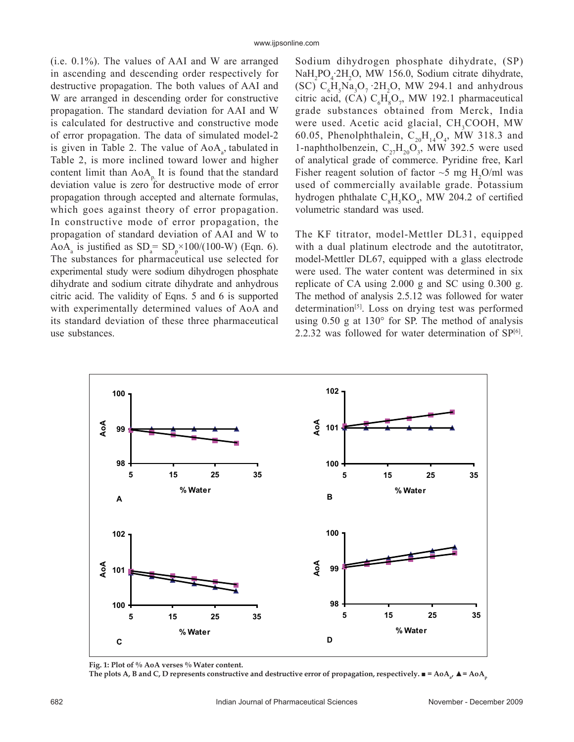(i.e. 0.1%). The values of AAI and W are arranged in ascending and descending order respectively for destructive propagation. The both values of AAI and W are arranged in descending order for constructive propagation. The standard deviation for AAI and W is calculated for destructive and constructive mode of error propagation. The data of simulated model-2 is given in Table 2. The value of  $AoA<sub>a</sub>$ , tabulated in Table 2, is more inclined toward lower and higher content limit than  $AoA<sub>p</sub>$ . It is found that the standard deviation value is zero for destructive mode of error propagation through accepted and alternate formulas, which goes against theory of error propagation. In constructive mode of error propagation, the propagation of standard deviation of AAI and W to AoA<sub>a</sub> is justified as  $SD_a = SD_p \times 100/(100-W)$  (Eqn. 6). The substances for pharmaceutical use selected for experimental study were sodium dihydrogen phosphate dihydrate and sodium citrate dihydrate and anhydrous citric acid. The validity of Eqns. 5 and 6 is supported with experimentally determined values of AoA and its standard deviation of these three pharmaceutical use substances.

Sodium dihydrogen phosphate dihydrate, (SP) NaH<sub>2</sub>PO<sub>4</sub>.2H<sub>2</sub>O, MW 156.0, Sodium citrate dihydrate, (SC)  $C_6H_5Na_3O_7 \cdot 2H_2O$ , MW 294.1 and anhydrous citric acid, (CA)  $C_6H_8O_7$ , MW 192.1 pharmaceutical grade substances obtained from Merck, India were used. Acetic acid glacial, CH<sub>3</sub>COOH, MW 60.05, Phenolphthalein,  $C_{20}H_{14}O_4$ , MW 318.3 and 1-naphtholbenzein,  $C_{27}H_{20}O_3$ , MW 392.5 were used of analytical grade of commerce. Pyridine free, Karl Fisher reagent solution of factor  $\sim$ 5 mg H<sub>2</sub>O/ml was used of commercially available grade. Potassium hydrogen phthalate  $C_8H_5KO_4$ , MW 204.2 of certified volumetric standard was used.

The KF titrator, model-Mettler DL31, equipped with a dual platinum electrode and the autotitrator, model-Mettler DL67, equipped with a glass electrode were used. The water content was determined in six replicate of CA using 2.000 g and SC using 0.300 g. The method of analysis 2.5.12 was followed for water determination[5]. Loss on drying test was performed using 0.50 g at 130° for SP. The method of analysis 2.2.32 was followed for water determination of  $SP<sup>[6]</sup>$ .



Fig. 1: Plot of % AoA verses % Water content. The plots A, B and C, D represents constructive and destructive error of propagation, respectively.  $\blacksquare$  = AoA<sub>a</sub>,  $\blacktriangle$  = AoA<sub>p</sub>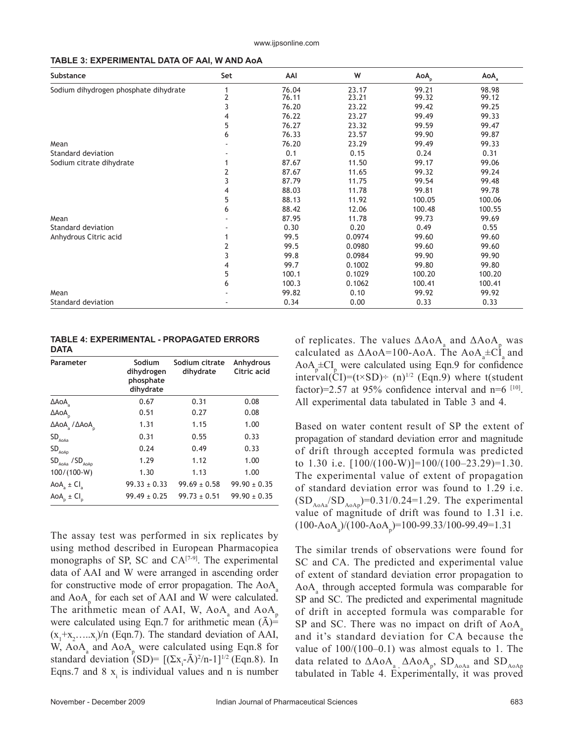|  | TABLE 3: EXPERIMENTAL DATA OF AAI, W AND AOA |  |
|--|----------------------------------------------|--|
|--|----------------------------------------------|--|

| Substance                             | Set            | AAI   | W      | AoA <sub>p</sub> | AoA    |
|---------------------------------------|----------------|-------|--------|------------------|--------|
| Sodium dihydrogen phosphate dihydrate |                | 76.04 | 23.17  | 99.21            | 98.98  |
|                                       | $\overline{2}$ | 76.11 | 23.21  | 99.32            | 99.12  |
|                                       | 3              | 76.20 | 23.22  | 99.42            | 99.25  |
|                                       | 4              | 76.22 | 23.27  | 99.49            | 99.33  |
|                                       | 5              | 76.27 | 23.32  | 99.59            | 99.47  |
|                                       | 6              | 76.33 | 23.57  | 99.90            | 99.87  |
| Mean                                  |                | 76.20 | 23.29  | 99.49            | 99.33  |
| Standard deviation                    |                | 0.1   | 0.15   | 0.24             | 0.31   |
| Sodium citrate dihydrate              |                | 87.67 | 11.50  | 99.17            | 99.06  |
|                                       | 2              | 87.67 | 11.65  | 99.32            | 99.24  |
|                                       | 3              | 87.79 | 11.75  | 99.54            | 99.48  |
|                                       | 4              | 88.03 | 11.78  | 99.81            | 99.78  |
|                                       | 5              | 88.13 | 11.92  | 100.05           | 100.06 |
|                                       | 6              | 88.42 | 12.06  | 100.48           | 100.55 |
| Mean                                  |                | 87.95 | 11.78  | 99.73            | 99.69  |
| Standard deviation                    |                | 0.30  | 0.20   | 0.49             | 0.55   |
| Anhydrous Citric acid                 |                | 99.5  | 0.0974 | 99.60            | 99.60  |
|                                       | 2              | 99.5  | 0.0980 | 99.60            | 99.60  |
|                                       | 3              | 99.8  | 0.0984 | 99.90            | 99.90  |
|                                       | 4              | 99.7  | 0.1002 | 99.80            | 99.80  |
|                                       | 5              | 100.1 | 0.1029 | 100.20           | 100.20 |
|                                       | 6              | 100.3 | 0.1062 | 100.41           | 100.41 |
| Mean                                  |                | 99.82 | 0.10   | 99.92            | 99.92  |
| Standard deviation                    |                | 0.34  | 0.00   | 0.33             | 0.33   |

#### **TABLE 4: EXPERIMENTAL - PROPAGATED ERRORS DATA**

| Parameter                                   | Sodium<br>dihydrogen<br>phosphate<br>dihydrate | Sodium citrate<br>dihydrate | Anhydrous<br>Citric acid |  |
|---------------------------------------------|------------------------------------------------|-----------------------------|--------------------------|--|
| ΔΑοΑ                                        | 0.67                                           | 0.31                        | 0.08                     |  |
| $\Delta$ AoA                                | 0.51                                           | 0.27                        | 0.08                     |  |
| $\Delta$ AoA / $\Delta$ AoA                 | 1.31                                           | 1.15                        | 1.00                     |  |
| $\mathsf{SD}_{_{\mathsf{AoAa}}}$            | 0.31                                           | 0.55                        | 0.33                     |  |
| $\mathsf{SD}_{_{\mathsf{AoAp}}}$            | 0.24                                           | 0.49                        | 0.33                     |  |
| $SD$ <sub>AOAa</sub> / $SD$ <sub>AOAp</sub> | 1.29                                           | 1.12                        | 1.00                     |  |
| 100/(100-W)                                 | 1.30                                           | 1.13                        | 1.00                     |  |
| AoA <sub>a</sub> $\pm$ Cl <sub>a</sub>      | $99.33 \pm 0.33$                               | $99.69 \pm 0.58$            | $99.90 \pm 0.35$         |  |
| AoA <sub>o</sub> ± CI <sub>o</sub>          | $99.49 \pm 0.25$                               | $99.73 \pm 0.51$            | $99.90 \pm 0.35$         |  |

The assay test was performed in six replicates by using method described in European Pharmacopiea monographs of SP, SC and  $CA^{[7-9]}$ . The experimental data of AAI and W were arranged in ascending order for constructive mode of error propagation. The  $AoA<sub>a</sub>$ and  $AoA<sub>p</sub>$  for each set of AAI and W were calculated. The arithmetic mean of AAI, W,  $A_0A_a$  and  $A_0A_p$ were calculated using Eqn.7 for arithmetic mean  $(A)$ =  $(x_1+x_2,...x_i)/n$  (Eqn.7). The standard deviation of AAI, W,  $AoA<sub>a</sub>$  and  $AoA<sub>p</sub>$  were calculated using Eqn.8 for standard deviation (SD)=  $[(\Sigma x_i - \bar{A})^2/n - 1]^{1/2}$  (Eqn.8). In Eqns.7 and 8  $x_i$  is individual values and n is number

of replicates. The values  $\Delta A_0 A_a$  and  $\Delta A_0 A_p$  was calculated as  $\triangle A \circ A = 100 - A \circ A$ . The  $A \circ A_a \pm C I_a$  and  $AoA<sub>p</sub> \pm CI<sub>p</sub>$  were calculated using Eqn.9 for confidence interval(CI)=(t×SD)÷ (n)<sup>1/2</sup> (Eqn.9) where t(student factor)=2.57 at 95% confidence interval and  $n=6$  [10]. All experimental data tabulated in Table 3 and 4.

Based on water content result of SP the extent of propagation of standard deviation error and magnitude of drift through accepted formula was predicted to 1.30 i.e.  $[100/(100-W)] = 100/(100-23.29) = 1.30$ . The experimental value of extent of propagation of standard deviation error was found to 1.29 i.e.  $(SD_{A_0A_0}/SD_{A_0A_0})=0.31/0.24=1.29$ . The experimental value of magnitude of drift was found to 1.31 i.e.  $(100 - AoA<sub>a</sub>)/(100 - AoA<sub>p</sub>) = 100 - 99.33/100 - 99.49 = 1.31$ 

The similar trends of observations were found for SC and CA. The predicted and experimental value of extent of standard deviation error propagation to AoAa through accepted formula was comparable for SP and SC. The predicted and experimental magnitude of drift in accepted formula was comparable for SP and SC. There was no impact on drift of AoA and it's standard deviation for CA because the value of  $100/(100-0.1)$  was almost equals to 1. The data related to  $\Delta A$ o $A_a$ ,  $\Delta A$ o $A_p$ ,  $SD$ <sub>AoAa</sub> and  $SD$ <sub>AoAp</sub> tabulated in Table 4. Experimentally, it was proved